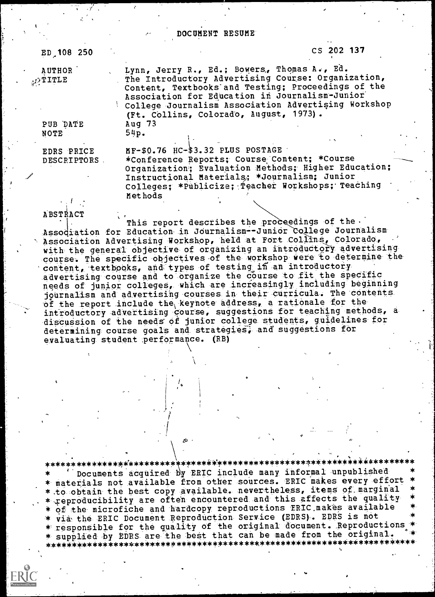| ED 108 250                     |                                                                                       | CS 202 137                                                                                                                                                                                                        |
|--------------------------------|---------------------------------------------------------------------------------------|-------------------------------------------------------------------------------------------------------------------------------------------------------------------------------------------------------------------|
| AUTHOR<br>$\mathbb{C}^T$ TITLE | Lynn, Jerry R., Ed.; Bowers, Thomas A., Ed.<br>(Ft. Collins, Colorado, August, 1973). | The Introductory Advertising Course: Organization,<br>Content, Textbooks and Testing; Proceedings of the<br>Association for Education in Journalism-Junior<br>College Journalism Association Advertising Workshop |
| PUB DATE<br>NOTE               | Aug $73$<br>54p.                                                                      |                                                                                                                                                                                                                   |
| EDRS PRICE<br>DESCRIPTORS      | MF-\$0.76 HC-\$3.32 PLUS POSTAGE                                                      | *Conference Reports; Course Content; *Course<br>Organization; Evaluation Methods; Higher Education;<br>Instructional Materials; *Journalism; Junior<br>Colleges; *Publicize; Teacher Workshops; Teaching          |

DOCUMENT RESUME

Methods

k

ABSTRACT<br>
This report describes the proceedings of the. Assodiation for Education in Journalism--Junior College Journalism Association Advertising Workshop, held at Fort Collins, Colorado, with-the general objective- of organizing an introductory advertising-<br>course: The specific objectives of the workshop were to determine the content, textbooks, and types of testing in an introductory advertising course and to organize the course to fit the specific<br>needs of junior colleges, which are increasingly including beginning journalism and advertising courses in their curricula. The contents-<br>of the report include the keynote address, a rationale for theintroductory advertising course, suggestions for teaching methods, a discussion of the needs of junior college students, guidelines for determining course goals and strategies, and suggestions for evaluating student perfor

\*\*\*\*\*\*\*\*\*\*\*\*\*\*\*\*'\*\*\*\*\*\*\*\*\*#\*\*\*\*\*\*\*\*#\*\*\*\*\*\*\*\*\*\*\*\*\*\*\*\*e?c\*\*\*\*\*\*\*\*\*\*\*\*\*\*\*\*\*\*\*\* \* materials not available from other sources. ERIC makes every effort \*<br>\* to obtain the best copy available. nevertheless, items of marginal \*<br>\* reproducibility are often encountered and this affects the quality \*<br>\* of the \* responsible for the quality of the original document. Reproductions \* supplied by EDRS are the =best that can be =made from the original. \* \*\*\*\*\*\*\*\*\*\*\*\*\*\*\*\*\*\*\*\*\*\*\*\*#\*\*\*\*\*\*\*\*#\*\*\*\*\*\*\*\*\*\*\*\*\*\*\*\*\*\*\*\*\*\*\*\*\*\*\*\*\*\*\*\*\*\*\*\*\*

 $\lambda$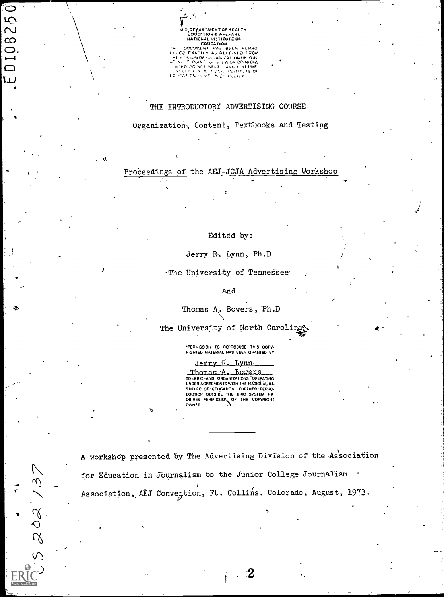U SIDEBARTMENTOF HEALTH<br>| EDUCATION 6 WFLFARE<br>| NATIONAL INSTITUTE OF EDUCATION<br>DOCHAEN THAS BELN KEPRO<br>HEMES EXACTLY A, RECEIVED FROM<br>AT MC ESONOR COMMUNICATION ORIGIN<br>C TECHAEN TO LE LANCY REPRE<br>L'HED DO NOT NECEL ANILY REPRE<br>E TELE CA FUND ON DURING

THE INTRODUCTORY ADVERTISING COURSE

Organization, Content, Textbooks and Testing

Proceedings of the AEJ-JCJA Advertising Workshop

Edited by:

Jerry R. Lynn, Ph.D

The University of Tennessee'

and

Thomas A. Bowers, Ph.D.

The University of North Caroling

°PERMISSION TO REPRODUCE THIS -COPY- RIGHTED MATERIAL HAS BEEN GRANTED BY

Jerry R. Lynn

\_Thomas\_A. \_Bowexs<br>TO -\_ERIC -AND ORGANIZATIONS OPERATING<br>UNDER ABREEMENTS WITH THE NATIONAL IN-<br>STITUTE- OF- EDUCATION, FURTHER- REPRO-OUCTION OUTSIDE THE ERIC SYSTEM RE OUIRES PERMISSION OF THE COPYRIGHT OWNER

 $\mathbf{v}$ 

20213  $\epsilon$ <sup>)</sup>

25 Q

 $\overline{0}$  $\overline{a}$ Õ LL

> N for Education in Journalism to the Junior College Journalism Association, AEJ Convention, Ft. Collins, Colorado, August, 1973. A workshop presented by The Advertising Division of the Association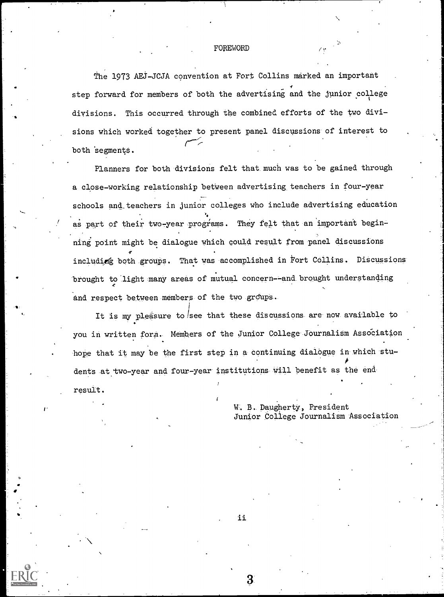#### FOREWORD

The 1973 AEJ-JCJA convention at Fort Collins marked an important step forward for members of both the advertising and the junior college divisions. This occurred through the combined efforts of the two divisions which worked together to present panel discussions of interest to both segments.

Planners for both divisions felt that much was to be gained through a close-working relationship between advertising teachers in four-year schools and teachers in junior colleges who include advertising education as part of their two-year programs. They felt that an important beginning point might be dialogue which could result from panel discussions  $\mathcal{T}$  and the set of  $\mathcal{T}$ including both groups. That was accomplished in Fort Collins. Discussions  $\begin{bmatrix} \cdot & \cdot & \cdot \end{bmatrix}$ brought to light many areas of mutual concern--and brought understanding and respect between members of the two groups.

It is my pleasure to see that these discussions are now available to you in written form. Members of the Junior College Journalism Association hope that it may be the first step in a continuing dialogue in which stu- $\epsilon$ dents at two-year and four-year institutions will benefit as the end result.

-s,

W. B. Daugherty, President Junior College Journalism Association

11

З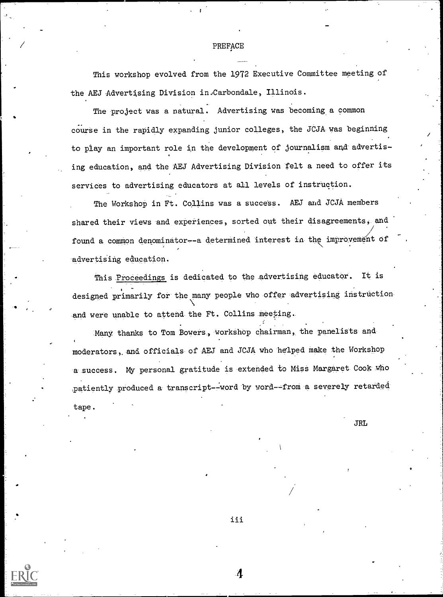#### PREFACE

This workshop evolved from the 1972 Executive Committee meeting of the AEJ Advertising Division in.Carbondale, Illinois.

The project was a natural. Advertising was becoming a common course in the rapidly expanding junior colleges, the JCJA-was beginning to play an important role in the development of journalism and-advertising education, and the AEJ Advertising Division felt a need to offer its services to advertising educators at all levels of instruction.

The Workshop in Ft. Collins was a success. AEJ and JCJA members shared their views and experiences, sorted out their disagreements, and found a common denominator--a determined interest in the improvement of advertising education.

This Proceedings is dedicated to the advertising educator. It is designed primarily for the many people who offer advertising instruction and were unable to attend the Ft. Collins meeting.

Many thanks to Tom Bowers, workshop chairman, the panelists and moderators,. and officials of AEJ and JCJA who helped make the Workshop a success. My personal gratitude is extended to Miss Margaret Cook who patiently produced a transcript--word by word--from a severely retarded tape.

JRL

iii

 $\boldsymbol{\varLambda}$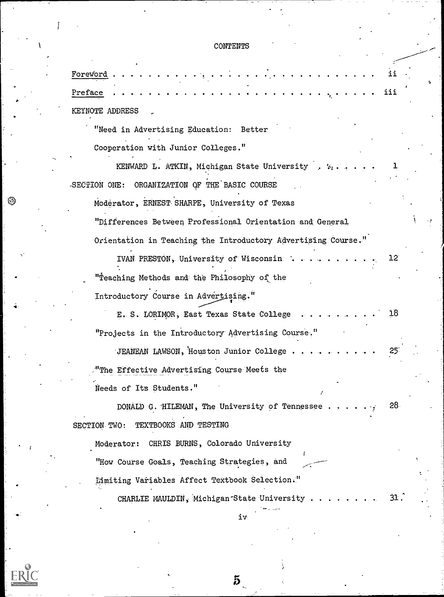# **CONTENTS**

| Foreword                                                      |                 |  |
|---------------------------------------------------------------|-----------------|--|
| Preface                                                       | iii             |  |
| KEYNOTE ADDRESS                                               |                 |  |
| "Need in Advertising Education:<br>Better                     |                 |  |
| Cooperation with Junior Colleges."                            |                 |  |
| KENWARD L. ATKIN, Michigan State University                   |                 |  |
| -SECTION ONE: ORGANIZATION OF THE BASIC COURSE                |                 |  |
| Moderator, ERNEST SHARPE, University of Texas                 |                 |  |
| "Differences Between Professional Orientation and General     |                 |  |
| Orientation in Teaching the Introductory Advertising Course." |                 |  |
| IVAN PRESTON, University of Wisconsin.                        | $12^{\circ}$    |  |
| "Teaching Methods and the Philosophy of the                   |                 |  |
| Introductory Course in Advertising."                          |                 |  |
| E. S. LORIMOR, East Texas State College                       | 18              |  |
| "Projects in the Introductory Advertising Course."            |                 |  |
| JEANEAN LAWSON, Houston Junior College                        |                 |  |
| "The Effective Advertising Course Meets the                   |                 |  |
| Needs of Its Students."                                       |                 |  |
| DONALD G. HILEMAN, The University of Tennessee                | 28 <sub>1</sub> |  |
| TEXTBOOKS AND TESTING<br>SECTION TWO:                         |                 |  |
| CHRIS BURNS, Colorado University<br>Moderator:                |                 |  |
| "How Course Goals, Teaching Strategies, and                   |                 |  |
| Limiting Variables Affect Textbook Selection."                |                 |  |
| CHARLIE MAULDIN, Michigan State University                    | 31.             |  |
| iν                                                            |                 |  |

 $\overline{5}$ 

 $ER_{LC}^{\odot}$ 

 $\mathbf{I}$ 

 $\circledS$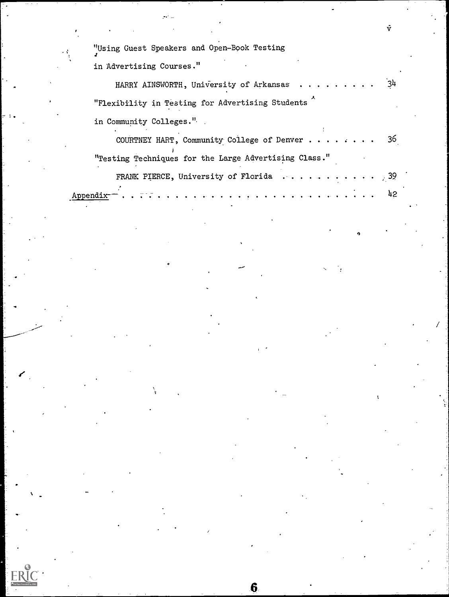"Using Guest Speakers and Open-Book Testing

in Advertising Courses."

| HARRY AINSWORTH, University of Arkansas 34                                                             |  |
|--------------------------------------------------------------------------------------------------------|--|
| "Flexibility in Testing for Advertising Students                                                       |  |
| in Community Colleges."                                                                                |  |
| COURTNEY HART, Community College of Denver 36<br>"Testing Techniques for the Large Advertising Class." |  |
| FRANK PIERCE, University of Florida 39                                                                 |  |

 $6\phantom{1}$ 

Appendix-- 42

 $\mathcal{L}^{\mathcal{S}}_{\mathcal{A}}$ 

 $\hat{\mathbf{v}}$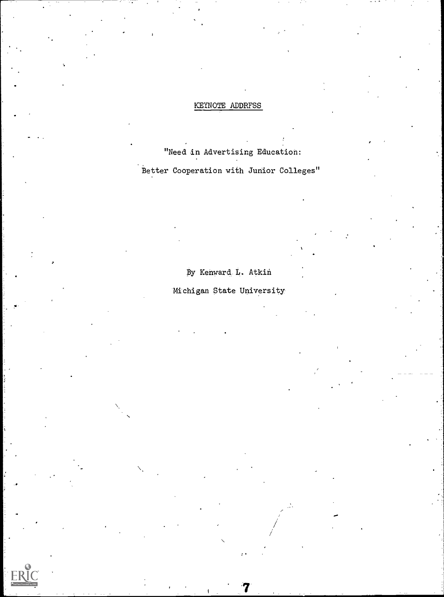### KEYNOTE ADDRFSS

"Need in Advertising Education: Better Cooperation with Junior Colleges"

By Kenward L. Atkin

# Michigan State University

ti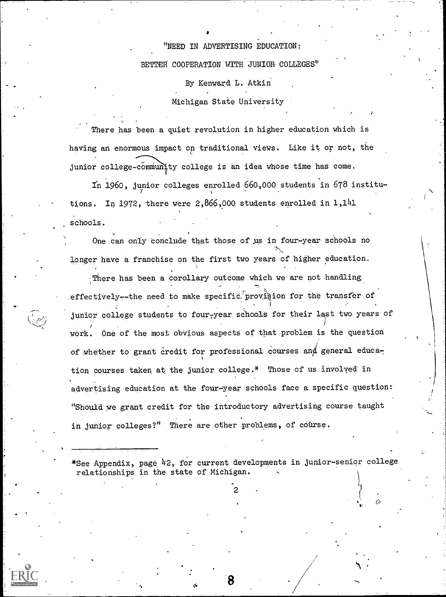# "NEED IN ADVERTISING EDUCATION: BETTER COOPERATION WITH JUNIOR COLLEGES"

By Kenward L. Atkin

Michigan State University

There has been a quiet revolution in higher education which is having an enormous impact on traditional views. Like it or not, the junior college-communtty college is an idea whose time has come.

In 1960, junior colleges enrolled 660,000 students in 678 institutions. In 1972, there were  $2,866,000$  students enrolled in  $1,141$ \_schools.

One can only conclude that those of us in four-year schools no longer have a franchise on the first two years of higher education.

There has been a corollary outcome which we are not handling. effectively--the need to make specific provision for the transfer of junior college students to four-year schools for their last two years of work. One of the most dbvious aspects of that problem is the question of whether to grant credit for professional courses and general education courses taken at the junior college.\* Those of us involyed in advertising education at the four-year schools face a specific question: "Should we grant credit for the introductory advertising course taught in junior colleges?" There are other problems, of course.

-\*See Appendix, page 42, for current developments in junior-senior college relationships in the. state of Michigan.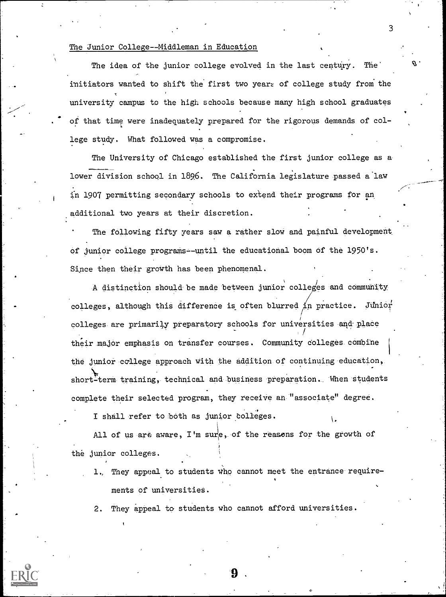#### The Junior College--Middleman in Education

The idea of the junior college evolved in the last century. The initiators wanted to shift the first two years of college study from the university campus to the high schools because many high school graduates of that time were inadequately prepared for the rigorous demands of college study. What followed was a compromise.

3

The University of Chicago established the first junior college as a lower division school in 1896. The California legislature passed a law in 1907 permitting secondary schools to extend their programs for an additional two years at their discretion.

The following fifty years saw a rather slow and painful development of junior college programs=-until the educational boom of the 1950's. Since then their growth has been phenomenal.

A distinction should be made between junior colleges and community colleges, although this difference is often blurred in practice. Junior colleges are primarily preparatory schools for universities and place their major emphasis on transfer courses. Community colleges combine the junior college approach with the addition of continuing education, short-term training, technical and business preparation. When students complete their selected program, they receive an "associate" degree.

I shall refer to both as junior colleges.

All of us are aware, I'm sure, of the reasons for the growth of the junior colleges.

1., They appeal to students who cannot meet the entrance requirements of universities.

 $\cdot$  . The set of  $\cdot$ 

2. They appeal to students who cannot afford universities.

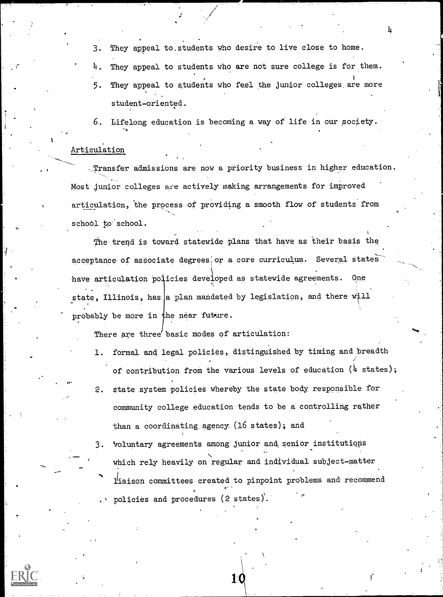3. They appeal to.students who desire to live close to home.

4. They appeal to students who are not sure college is for them. 5. They appeal to students who feel the junior colleges are more student-oriented.

6. Lifelong education is becoming a way of life in our society.

#### Articulation

-Transfer admissions are now a priority business in higher education. Most junior colleges are actively making arrangements for improved articulation, the process of providing a smooth flow of students from school to school.

The trend is toward statewide plans that have as their basis the acceptance of associate degrees or a core curriculum. Several states have articulation policies developed as statewide agreements. One state, Illinois, has a plan mandated by legislation, and there will probably be more in the near future.

There are three basic modes of articulation:

- 1. formal and legal policies, distinguished by timing and 'breadth of contribution from the various levels of education  $(4 \text{ states})$ ;
- 2. state system policies whereby the state body responsible for community college education tends to be a controlling rather than a coordinating agency. (16 states); and
- 3. Voluntary agreements among junior and senior institutions which rely heavily on regular and individual subject-matter liaison committees created to pinpoint problems and recommend policies and procedures (2 states).

10

<u>n and</u>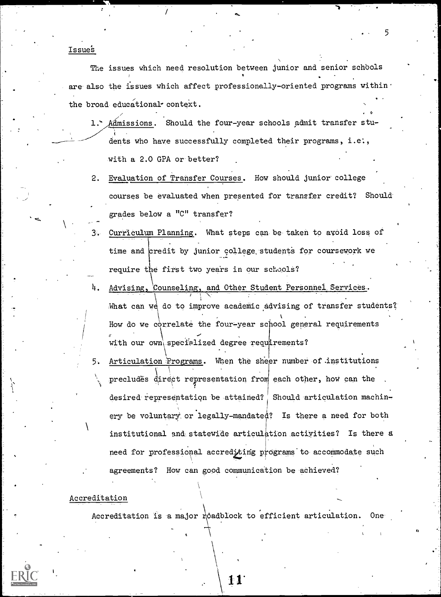Issue's

The issues which need resolution between junior and senior schbols are also the issues which affect professionally-oriented programs within. the broad educational context.

 $\sim$ 

- 1. Admissions. Should the four-year schools admit transfer students who have successfully completed their programs, i.e., -with a 2.0 GPA or-better?
- 2. Evaluation of Transfer Courses. How should junior college courses be evaluated when presented for transfer credit? Should grades below a "C" transfer?
- 3. Curriculum Planning. What steps can be taken to avoid loss of time and credit by junior college students for coursework we require first two years in our schools?
- Advising, Counseling, and Other Student Personnel Services. What can we do to improve academic advising of transfer students? How do we correlate the four=year sc ool general requirements with our own\specialized degree requirements?
- 5. Articulation Programs. When the sheer number of .institutions precludes direct representation from each other, how can the desired representation be attained? Should articulation machinery be voluntary, or legally-mandated? Is there a need for both institutional and statewide articulation actiyities? Is there a need for professional accrediting programs to accommodate such agreements? How can good communication be achieved?

#### **Accreditation**

Accreditation is a major roadblock to efficient articulation. One

5

.

 $\bullet$  and  $\bullet$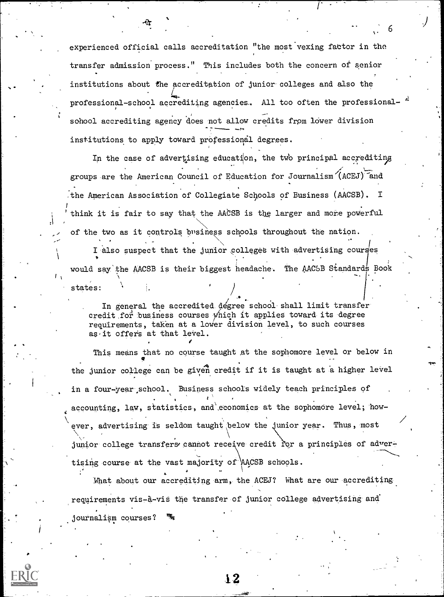experienced official calls accreditation "the most vexing fabtor in the transfer admission process." This includes both the concern of senior institutions about the accreditation of junior-colleges and also the professional-school accrediting agencies. All too often the professional- $A$ sohool accrediting agency does not allow credits from lower division institutions to apply toward professional degrees.

In the case of advertising education, the two principal accrediting groups are the American Council of Education for Journalism (ACEJ) and the American Association of Collegiate Schools of Business (AACSB). I 1 think it is fair to say that the AACSB is the larger and more powerful  $\sim$  of the two as it controls business schools throughout the nation.

I also suspect that the junior colleges with advertising courges  $\mathbf{v} = \mathbf{v}$ would say the AACSB is their biggest headache. The AACSB Standards Book<br>/ \ states:

 $1 - \epsilon$  and  $\epsilon$ In general the accredited degree school shall limit transfer credit for business courses which it applies toward its degree requirements, taken at a lower division level, to such courses as,it offers at that level.

This means that no course taught at the sophomore level or below in the junior college can be given credit if it is taught at a higher level in a four-year,school. Business schools widely teach principles of  $\mathbf{E}^{(1)}$  and  $\mathbf{E}^{(2)}$ accounting, law, statistics, and economics at the sophomore level; however, advertising is seldom taught below the junior year. Thus, most junior college transfers cannot receive credit for a principles of advertising course at the vast majority of AACSB schools.

,What about our accrediting-arm, the ACEJ? What are our-accrediting requirements vis-à-vis the transfer of junior college advertising and journalism courses?

 $\mathcal{N}=\{1,2,3,4,5\}$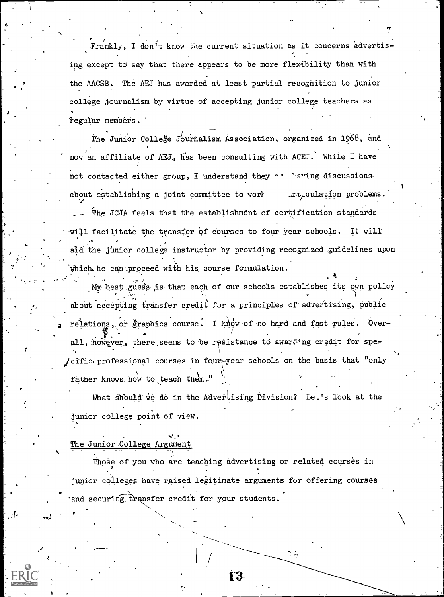Frankly, I don't know the current situation as it concerns advertising except to say that there appears to be more flexibility than with the AACSB. The AEJ has awarded at least partial recognition to junior college journalism by virtue of accepting junior college teachers as regular membérs.

The Junior College Journalism Association, organized in 1968, and now an affiliate of AEJ, has been consulting with ACED.' While I have not contacted either group, I understand they  $\cdots$  eving discussionsabout establishing a joint committee to work  $\ldots$  rue culation problems. The JCJA feels that the establishment of certification standards will facilitate the transfer of courses to four-year schools. It will aid the junior college instructor by providing recognized guidelines upon which. he can proceed with his course formulation.

 $\cdot$  . My best guess is that each of our schools establishes its own policy about accepting transfer credit for a principles of advertising, public relations, or graphics course. I know of no hard and fast rules. Over- $\mathcal{L} = \{ \mathcal{L} \}$ all, however, there seems to be resistance to awarding credit for spe jcific. professional courses in four year schools on the basis that "only father knows how to teach them."

What should we do in the Advertising Division? Let's look at the junior college point of view.

The Junior College Argument

/

I -

Those of you who are teaching advertising or related courses in junior colleges have raised legitimate arguments for offering courses and securing transfer credit for your students.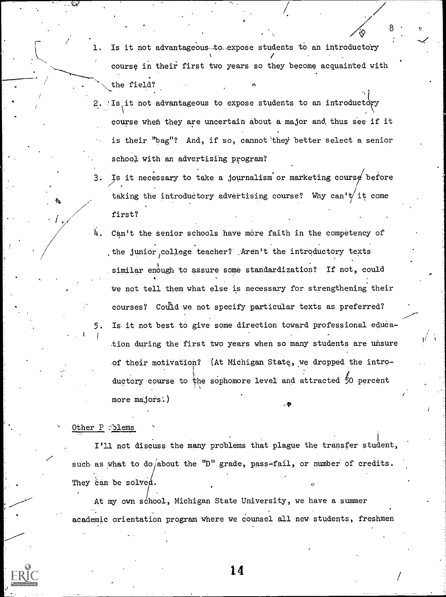- Is it not advantageous-to-expose students to an introductory course in their first two years so they become acquainted with the field?
- 2. Is it not advantageous to expose students to an introductory course when they are uncertain about a major and thus see if it is their "bag"? And, if so, cannot'they better select a senior school with an advertising program?
- 3. Is it necessary to take a journalism or marketing course before taking the introductory advertising course? Why can't it come first?
- 4. Can't the senior schools have more faith in the competency of , the junior college teacher? .Aren't the introductory texts similar enough to assure some standardization? If not, could we not tell them what else is necessary for strengthening their courses? Could we not specify particular texts as preferred? 5. Is it not best to give some direction toward professional- education during the first two years when so many students are unsure of their motivation? (At Michigan State, we dropped the introductory course to the sophomore level and attracted 50 percent more majors.)

#### Other P plems

I'll not discuss-the many-problems that plague the transfer student, such as what to do/about the "D" grade, pass-fail, or number of credits. They can be solved.

At my own school, Michigan State University, we have a summer academic orientation program where we counsel all new students, freshmen

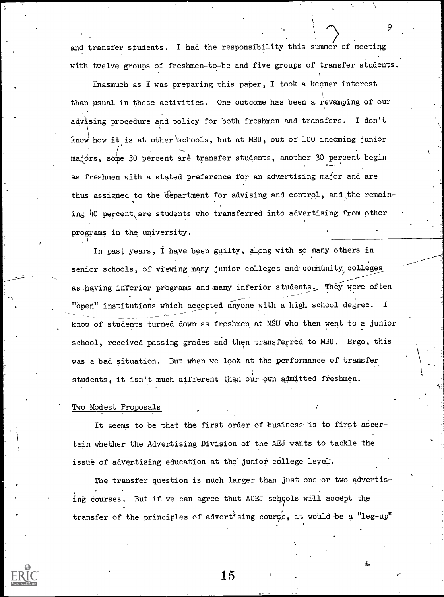and transfer students. I had the responsibility this summer of meeting with twelve groups of freshmen-to-be and five groups of transfer students.

9

Vb.

Inasmuch as I was preparing this paper, I took a keener interest than usual in these activities. One outcome has been a revamping of our advising procedure and policy for both freshmen and transfers. I don't knowl how it is at other 'schools, but at MSU, out of 100 incoming junior majors, some 30 percent are transfer students, another 30 percent begin as freshmen with a stated preference for an advertising major and are thus assigned to the 'department for advising and control, and the remain- . ing 40 percent are students who transferred into advertising from other programs in the university.

In past years, I have been guilty, along with so many others in senior schools, of viewing many junior colleges and community colleges as having inferior programs and many inferior students. They were often "open" institutions which accepted anyone with a high school degree. I know of students turned-down as freShmen at MSU who then went to a junior school, received passing grades and then transferred to MSU. Ergo, this was a bad situation. But when we look at the performance of transfer students, it isn't much different than our own admitted freshmen.

#### Two- Modest Proposals

It seems to be that the first order of business is to first ascertain whether the Advertising Division of the AEJ wants to tackle the issue of advertising education at the junior college level.

The transfer question is much larger than just one or two advertising courses. But if we can agree that ACEJ schools will accept the transfer of the principles of advertising course, it would be a "leg-up"

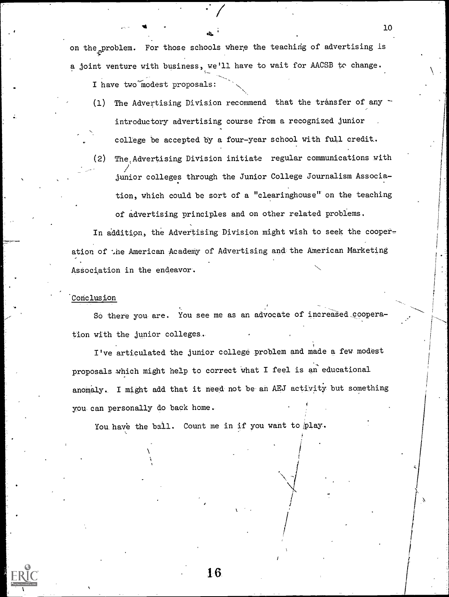on the problem. For those schools where the teaching of advertising is a joint venture with business, we'll have to wait for AACSB to change. I have two modest proposals:

- (1) The Advertising Division recommend that the transfer of any introductory advertising course from a recognized junior college be accepted by a four-year school with full credit..
- (2) The,Advertising Division initiate regular communications with jamior colleges through the Junior College Journalism Association, which could be sort of a "clearinghouse" on the teaching of advertising principles and on other related problems.

In addition, the Advertising Division might wish to seek the cooperation of the American Academy of Advertising and the American Marketing Association in the endeavor.

#### Conclusion

So there you are. You see me as an advocate of increased cooperation with the junior colleges-

I've articulated the junior college problem and made a few modest proposals which might help to correct What I feel is an educational anomaly. I might add that it need not be an AEJ activity but something you can personally do back home.

You have the ball. Count me in if you want to play.

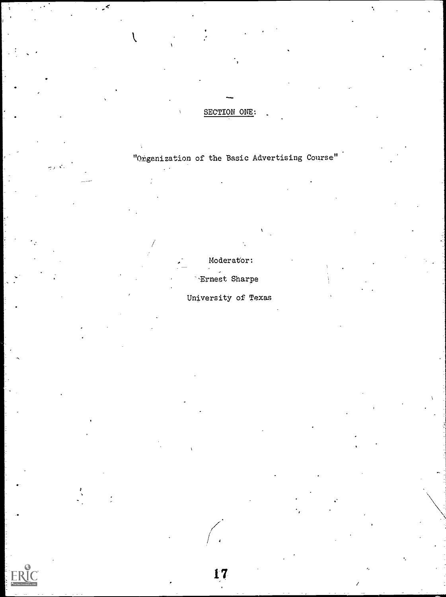# SECTION ONE:

 $\cdot$ 

الأكاري

l

"Orgenization of the Basic Advertising Course"

Moderator: --Ernest Sharpe

University of Texas

 $\frac{17}{1}$ 

/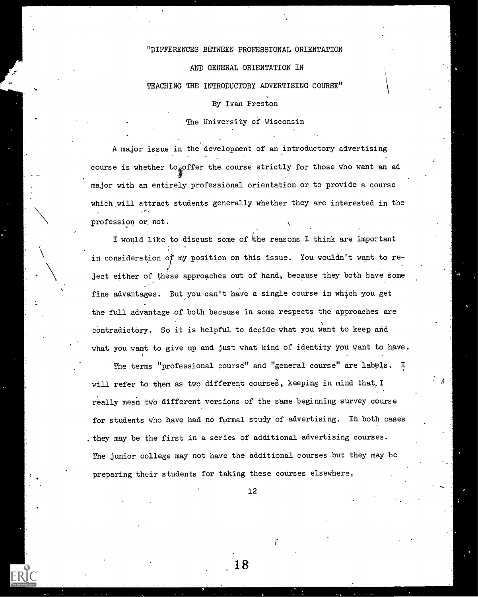### "DIFFERENCES BETWEEN PROFESSIONAL ORIENTATION

AND GENERAL ORIENTATION IN

TEACHING THE INTRODUCTORY ADVERTISING COURSE"

#### By Ivan Preston

#### The University of Wisconsin

A major issue in the development of an introductory advertising course is whether to offer the course strictly for those who want an ad major with an entirely professional orientation or to provide a course which will attract students generally whether they are interested in the profession or, not.

I would like to discuss some of  $k$ he reasons I think are important in consideration or my position on this issue. You wouldn't want to re- ; ject either of these approaches out of hand, because they both have some fine advantages. But you can't have a single course in which you get the full advantage of both because in some respects the approaches are contradictory. So it is helpful to decide what you want to keep and what you want to give up and just what kind of identity you want to have.

The terms "professional course" and "general course" are labels. I will refer to them as two different courses, keeping in mind that. I really mean two different versions of the same beginning survey course for students who have had no formal study of advertising. In both cases they may be the first in a series of additional advertising courses. The junior college may not have the additional courses but they may be preparing their students for taking these courses elsewhere.

12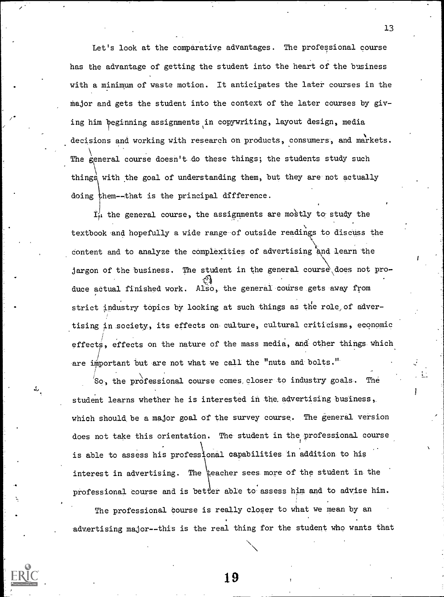Let's look at the comparative advantages. The professional course has the advantage of getting the student into the heart of the business with a minimum of waste motion. It anticipates the later courses in the Major and gets the student into the context of the later courses by giving him beginning assignments in copywriting, layout design, media decisions and working with research on products, consumers, and markets. The general course doesn't do these things; the students study such things with the goal of understanding them, but they are not actually doing them--that is the principal difference.

 $\mathcal{F}$  and  $\mathcal{F}$ 

**+** and the state

 $I_{tt}$  the general course, the assignments are mostly to study the textbook and hopefully a wide range of outside readings to discuss the  $\chi$  ,  $\chi$  ,  $\chi$ content and to analyze the complexities of advertising and learn the jargon of the business. The student in the general course does not produce actual finished work. Also, the general course gets away from strict industry topics by looking at such things as the role of advertising in .society, its effects on culture, cultural criticisms, economic effects, effects on the nature of the mass media, and other things which are important but are not what we call the "nuts and bolts."

So, the professional course comes, closer to industry goals. The student learns whether he is interested in the advertising business, which should be a major goal of the survey course. The general version does not take this orientation. The student in the professional course is able to assess his professional capabilities in addition to his interest in advertising. The eacher sees more of the student in the professional course and is better able to assess him and to advise him.

The professional course is really closer to what we mean by an advertising major--this is the real thing for the student who wants that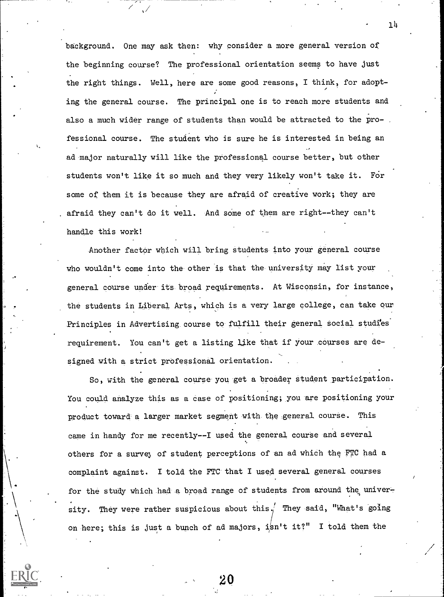background. One may ask then: why consider a more general version of the beginning course? The professional orientation seems to have just the right things. Well, here are some good reasons, I think, for adopt-  $\lambda$ , and  $\lambda$ ing the general course. The principal one is to reach more students and also a much wider range of students than would be attracted to the professional course. The student who is sure he is interested in being an ad major naturally will like the professional course better, but other students won't like it so much and they very likely won't take it. FOr some of them it is because they are afraid of creative work; they are . afraid they can't do it well. And some of them are right--they can't handle this work!

Another factor which will bring students into your general course who wouldn't come into the other is that the university may list your general course under its broad requirements. At Wisconsin, for instance, the students in Liberal Arts, which is a very large college, can take our Principles in Advertising course to fulfill their general social studies' requirement. You can't get a listing like that if your courses are designed with a strict professional orientation.

So, with the general course you get a broader student participation. You could analyze this as a case of positioning; you are positioning your product toward a larger market segment with the general course. This came in handy for me recently--I used the general course and several others for a survey of student perceptions of an ad which the FTC had a complaint against. I told the FTC that I used several general courses for the study which had a broad range of students from around the university. They were rather suspicious about this.<sup>1</sup> They said, "What's going on here; this is just a bunch of ad majors, isn't it?" I told them the

20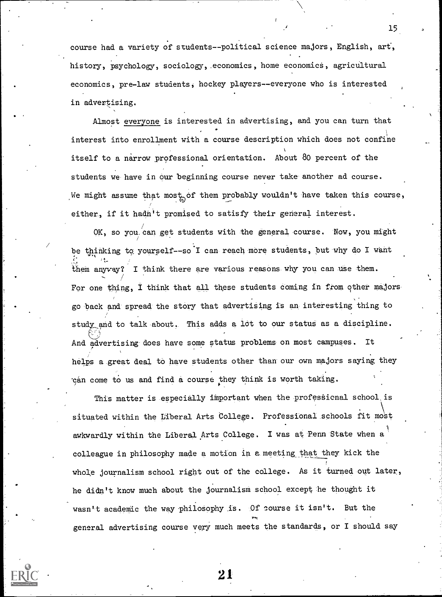course had a variety of students--political science majors, English, art, history, psychology, sociology, economics, home economics, agricultural economics, pre-law students, hockey players--everyone who is interested in advertising.

Almost everyone is interested in advertising, and you can turn that interest into enrollment with a course description which does not confine itself to a narrow professional orientation. About 80 percent of the students we-have in our beginning course never take-another ad course. We might assume that most of them probably wouldn't have taken this course, either, if it hadn't promised to satisfy their general interest.

OK, so you can get students with the general course. Now, you might be thinking to yourself--so I can reach more students, but why do I want rt. them any vay? I think there are various reasons why you can use them. For one thing, I think that all these students coming in from other majorsgo -back and spread: the story that advertising is an interesting thing to study and to talk-about, This adds a lot to our status as a discipline. And advertising does have some status problems on most campuses. It helps a great deal to have students other than our own majors saying they 'can come to us and find a course they think is worth taking.

This matter is especially important when the professional school is situated within the Liberal Arts College. Professional schools fit most awkwardly within the Liberal Arts College. I was at Penn State when a 1 colleague in philosophy made a motion in a meeting that they kick the whole journalism school right out of the college. As it turned out later, he didn't know much about the journalism school except he thought it wasn't academic the way philosophy is. Of course it isn't. But the 7, .4; general advertising course very much meets the standards, or I should say

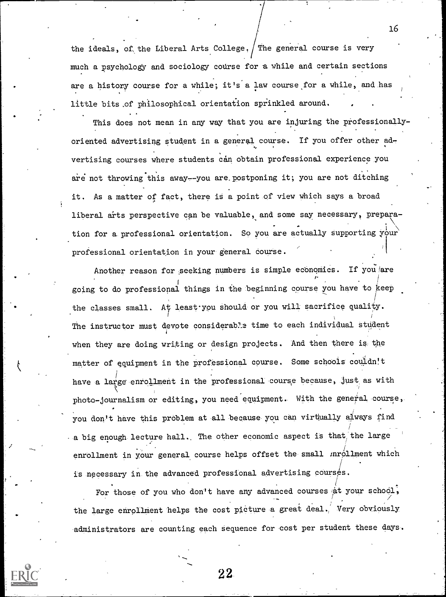the ideals, of the Liberal Arts College.  $/$  The general course is very much a psychology and sociology course for a while and certain sections are a history course for a while; it's a law course for a while, and has little bits.of philosophical orientation sprinkled around.

This does not mean in any way that you are injuring the professionallyoriented advertising student in a general course. If you offer other  $ad_{\tau}$ vertising courses where students can obtain professional experience you are not throwing this away--you are postponing it; you are not ditching it. As a matter of fact, there is a point of view which says a broad liberal arts perspective can be valuable, and some say necessary, preparation for a professional orientation. So you are actually supporting your  $\sum_{i=1}^n a_i = a_i$ professional orientation in your general course.

Another reason for seeking numbers is simple economics. If you are going to do professional things in the beginning course you have to keep the classes small. At least you should or you will sacrifice quality.  $\mathbf{I}$ The instructor must devote considerable time to each individual student when they are doing writing or design projects. And then there is the matter of equipment in the professional course. Some schools couldn't have a large enrollment in the professional course because, just as with photo-journalism or editing, you need equipment. With the general course, you don't have this problem at all because you can virtually always find -a big enough lecture hall. The other economic aspect is that the large enrollment in your general course helps offset the small mrollment which is necessary in the advanced professional advertising courses.

For those of you who don't have any advanced courses at your school, the large enrollment helps the cost picture a great deal. Very obviously administrators are counting each sequence for cost per student these days.

16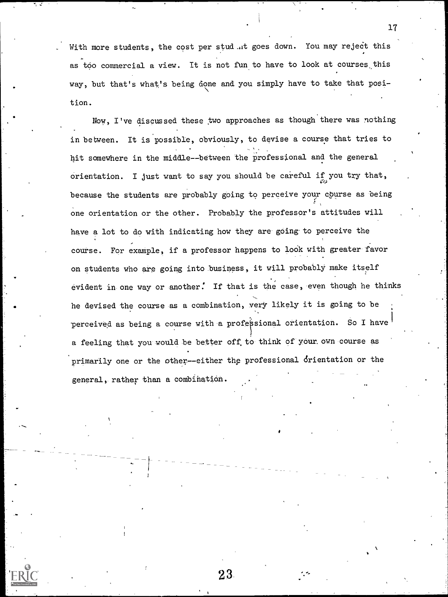With more students, the cost per stud ..it goes down. You may reject this as too commercial a view. It is not fun to have to look at courses this way, but that's what's being done and you simply have to take that position.

Now, I've discussed these two approaches as though there was nothing in between. It is possible, obviously, to devise a course that tries to hit somewhere in the middle--between the professional and the general orientation. I just want to say you should be careful if you try that, because the students are probably going to perceive your course as being one orientation or the other. Probably the professor's attitudes will have a lot to do with indicating how they are going to perceive the course. For example, if a professor happens to look with greater favor on students who are going into business, it will probably make itself evident in one way or another. If that is the case, even though he thinks he devised the course as a combination, very likely it is going to be perceived as being a course with a professional orientation. So I have a feeling that you would be better off.to think of your,own course as primarily one or the other--either the professional drientation or the general, rather than a combihation.

23

17

ti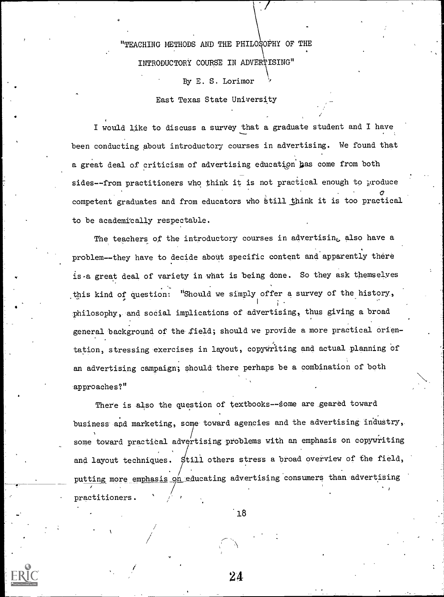"TEACHING METHODS AND THE PHILOSOPHY OF THE INTRODUCTORY COURSE IN ADVERTISING" By E. S. Lorimor

East Texas State University

I would like to discuss a survey that a graduate student and I have been conducting about introductory courses in advertising. We found that a great deal of criticism of advertising education has come from both sides--from practitioners who think it is not practical enough to produce  $\sigma$  and  $\sigma$ competent graduates and from educators who still think it is too practical the state of  $\lambda$ to be academically respectable.

The teachers of the introductory courses in advertisin<sub>e</sub> also have a problem--they have to decide about specific content and apparently there is.a great deal of variety in what is being done. So they ask themselyes this kind of question: "Should we simply offer a survey of the history, philosophy, and social implications of advertising, thus giving a broad general 'background of the ,field; should we provide a more practical orientation, stressing exercises in layout, copywriting and actual planning of an advertising campaign; should there perhaps be a combination of both approaches?"

There is also the question of textbooks--some are geared toward business and marketing, some toward agencies and the advertising industry, some toward practical advertising problems with an emphasis on copywriting and layout techniques. Still others stress a broad overview of the field, putting more emphasis on educating advertising consumers than advertising - I practitioners.

 $18$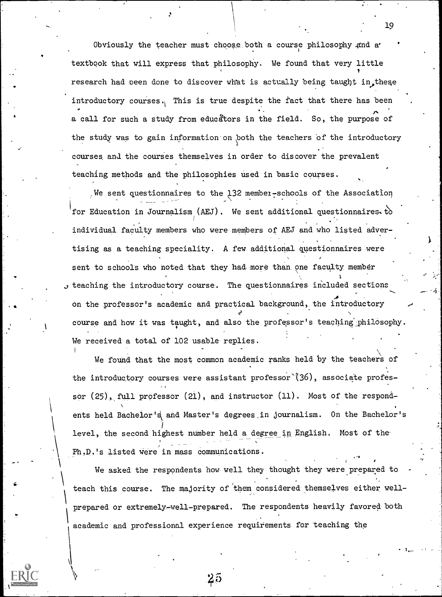Obviously the teacher must choose\_both a course philosophy 4nd a' textbook that will express that philosophy. We found that very little **I** I I research had been done to discover what is actually being taught in these introductory courses. This is true despite the fact that there has been a call for such a study from educators in the field. So, the purpose of the study was to gain information on both the teachers of the introductory courses and the courses themselves in order to discover the prevalent teaching methods and the philosophies used in basic courses.

We sent questionnaires to the 132 member-schools of the Association for Education in Journalism (AEJ). We sent additional questionnaires. to individual faculty members who were members of AEJ and who listed adver tising as a teaching speciality. A few additional questionnaires mere sent to schools who noted that they had more than one faculty member J teaching the introductory course. The questionnaires included sections  $\mathbf{A}$  and  $\mathbf{A}$ on the professor's academic and practical background, the introductory course and how it was taught, and also the professor's teaching philosophy. We received a total of 102 usable replies.

We found that the most common academic ranks held by the teachers of the introductory courses were assistant professor  $(36)$ , associate professor (25), full professor (21), and instructor (11). Most of the respond- $\mathbf{V} = \mathbf{V}$ ents held Bachelor's and Master's degrees in journalism. On the Bachelor's level, the second highest number held a degree in English. Most of the-Ph.D.'s listed were in mass communications.

We asked the respondents how well they thought they were prepared to teach this course. The majority of them considered themselves either well prepared or extremely-well-prepared. The respondents heavily favored both academic and professional experience requirements for teaching the

 $\boldsymbol{z}$ o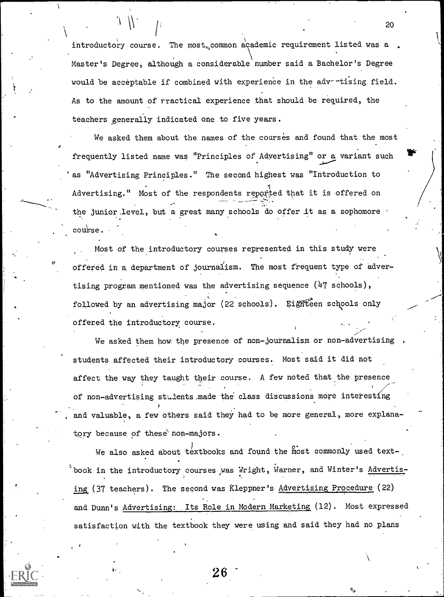introductory course. The most, common academic requirement listed was a. Master's Degree, although a considerable number said a Bachelor's Degree would be acceptable if combined with experience in the advertising field. As to the amount of rractical experience that should be required, the teachers generally indicated one to five years.

We asked them about the names of the courses and found that the most frequently listed name was "Principles of Adyertising" or a variant such 'as "Advertising Principles." The second highest was "Introduction to Advertising." Most of the respondents reported that it is offered on the junior level, but a great many schools do offer it as a sophomore  ${\rm \bf \text{c}ow}$ se.

Most of the introductory courses represented in this study were offered in a department of journalism. The most frequent type of advertising program mentioned was the advertising sequence (47 schools), followed by an advertising major (22 schools). Eighteen schools only offered the introductory course.

We asked them how the presence of non-journalism or non-advertising students affected their introductory courses. Most said it did not affect the way they taught their course. A few noted that the presence of non-advertising students made the class discussions more interesting and valuable, a few others said they had to be more general, more explanatory because of these non-majors.

We also asked about  $t$  extbooks and found the most commonly used textbook in the introductory courses was Wright, Warner, and Winter's Advertis-., ing (37 teachers). The second was Kleppner's Advertising Procedure (22) and Dunn's Advertising: Its Role in Modern Marketing (12). Most expressed satisfaction with the textbook they were using and said they had no plans

26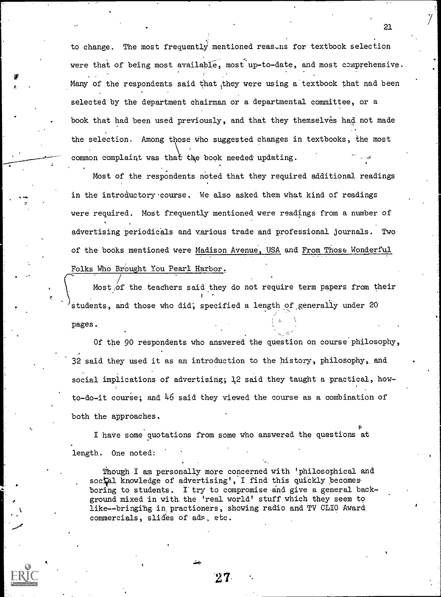to change. The most frequently mentioned reasons for textbook selection were that of being most available, most up-to-date, and most comprehensive. Many of the respondents said that they were using a textbook that nad been selected by the department chairman or a departmental committee, or a book that had been used previously, and that they themselves had not made the selection. Among those who suggested changes in textbooks, the most common complaint was that the book needed updating.

Most of the respondents noted that they required additional readings in the introductory course. We also asked them what kind of readings were required. Most frequently mentioned were readings from a number of advertising periodicals and various trade and professional journals. Two of the books mentioned were Madison Avenue, USA and From Those Wonderful Folks Who Brought You Pearl Harbor.

Most, of the teachers said they do not require term papers from their  $\mathbf{e}$  I and  $\mathbf{e}$  is a set of  $\mathbf{e}$  is a set of  $\mathbf{e}$ students, and those who did; specified a length of generally under 20 pages.

Of the 90 respondents who answered the question on course philosophy, 32 said they used it as an introduction to the history, philosophy, and social implications of advertising; ]2 said they taught a practical, howto-do-it course; and  $46$  said they viewed the course as a combination of both the approaches.

p I have some quotations from some who answered the questions at length. One noted:

Though I am personally more concerned with 'philosophical and social knowledge of advertising', I find this quickly becomes. boring to students. I try to compromise and give a general background mixed in with. the 'real world' stuff which they seem to like--bringing in practioners, showing radio and TV CLIO Award commercials, slides of ads, etc.

21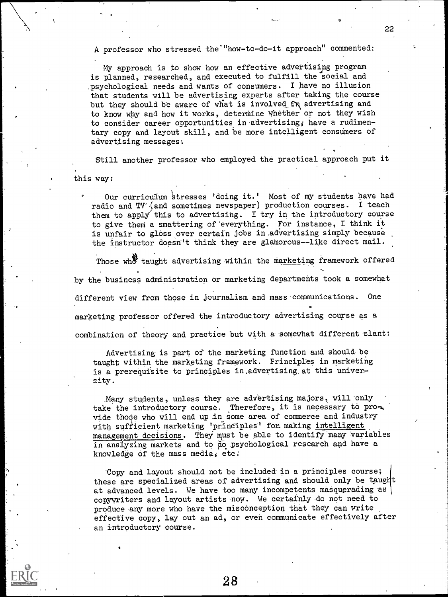A professor who stressed the"how-to-do-it approach" commented:

My approach is to show how an effective advertising program is planned, researched, and executed to fulfill the social and ,psychological needs and wants of consumers. I have no illusion that students will be advertising experts after taking the course but they should be aware of what is involved  $\hat{\mathbf{r}}$  advertising and to know why and how it works, determine whether or not they wish to consider career opportunities in advertising; have a rudimentary copy and layout skill, and be more intelligent consumers of advertising messages:

Still another professor who employed the practical approach put it

this way:

Our curriculum stresses 'doing it.' Most of my students have had radio and TV (and sometimes newspaper) production courses. I teach them to apply this to advertising. I try in the introductory course to give them a smattering of 'everything. For instance, I think it is unfair to gloss over certain jobs in .advertising simply because the instructor doesn't think they are glamorous--like direct mail.

Those who taught advertising within the marketing framework offered by the business administration or marketing departments took a somewhat different view from those in journalism and mass communications. One marketing, professor offered the introductory advertising course as a combination of theory and practice but with a somewhat different slant:

Advertising is part of the marketing function aid should be taught within the marketing framework. Frinciples in marketing is a prerequisite to principles in.advertising,at this university.

Many students, unless they are advertising majors, will only take the introductory course. Therefore, it is necessary to provide those who will end up in some area of commerce and industry with sufficient marketing 'principles' fon making intelligent management decisions. They must be able to identify many 'variables in analyzing markets and to do psychological research and have a knowledge of the mass media, etc:

Copy and layout should not be included in a principles course; these are specialized areas of advertising and should only be taught at advanced levels. We have too many incompetents masquerading as copywriters and layout artists now. We certainly do not need to produce any more who have the misconception that they can write effective copy, lay out an ad, or even communicate effectively after an introductory course.

22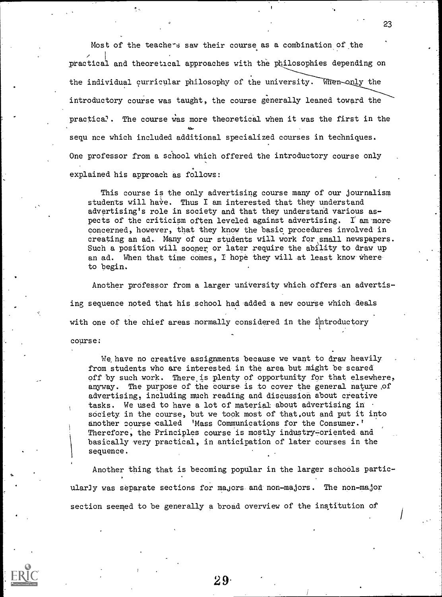Most of the teachers saw their course as a combination of the / <sup>1</sup> <sup>1</sup> practical and theoretical approaches with the philosophies depending on the individual curricular philosophy of the university. When only the introductory course was taught, the course generally leaned toward the practica2. The course Was more theoretical when it was the first in the sequ nce which included additional specialized courses in techniques. One professor from a school which offered the introductory course only explained his approach as follows:

This course is the only advertising course many of our journalism students will have. Thus I am interested that they understand advertising's role in society and that they understand various aspects of the criticism often leveled against advertising. I am more concerned, however, that they know the basic procedures involved in creating an ad.- Many of our students will work for small newspapers. Such a position will sooner or later require the ability to draw up an ad. When that time comes, I hope they will at least know whereto begin.

Another professor from a larger university which offers an advertising sequence noted that his school had added a new course which deals with one of the chief areas normally considered in the introductory course:

We, have no creative assignments because we want to draw heavily from students who are interested in the area but might be scared off by such work. There is plenty of opportunity for that elsewhere, anyway. The purpose of the course is to cover the general nature ,of advertising, including much reading and discussion about creative tasks. We used to have a lot of material about advertising in society in the course, but we took most of that,out and put it into another course called 'Mass Communications for the Consumer.' Therefore, the Principles course is mostly industry-oriented and basically very practical, in anticipation of later courses in the sequence.

Another thing that is becoming popular in the larger schools particularJy was separate sections for majors and non-majors. The non-major section seemed to be generally a broad overview of the institution of

2 9.

0.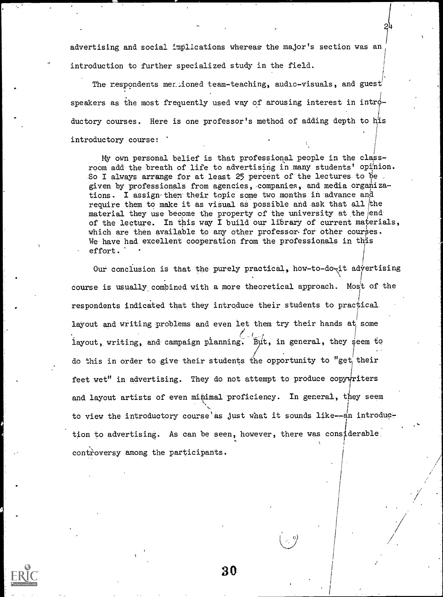advertising and social implications whereas the major's section was an introduction to further specialized study in the field.

t

The respondents mertioned team-teaching, audio-visuals, and guest speakers as the most frequently used way of arousing interest in intro- $\mathbf{r}$ ductory courses. Here is one professor's method of adding depth to his I I introductory course: '

My own personal belief is that professional people in the classroom add the breath of life to advertising in many students' opinion. So I always arrange for at least 25 percent of the lectures to be. given by professionals from agencies, -companies, and media organizations. I assign-them their topic some two months in advance and require them to make it as visual as possible and ask that all the material they use become the property of the university at the endof the lecture. In this way I build our library of current materials, which are then available to any other professor for other courses. We have had excellent cooperation from the professionals in this  $\text{effort.}$  . The contract of the contract of the contract of the contract of the contract of the contract of the contract of the contract of the contract of the contract of the contract of the contract of the contract of t

Our conclusion is that the purely practical, how-to-do-it advertising course is usually combined with a more theoretical approach. Most of the respondents indicated that they introduce their students to practical layout and writing problems and even let them try their hands at some layout, writing, and campaign planning. But, in general, they seem to do this in order to give their students the opportunity to "get their feet wet" in advertising. They do not attempt to produce copy writers and layout artists of even minimal proficiency. In general, they seem to view the introductory course as just what it sounds like--an introduction to advertising. As can be seen, however, there was considerable, controversy among the participants.

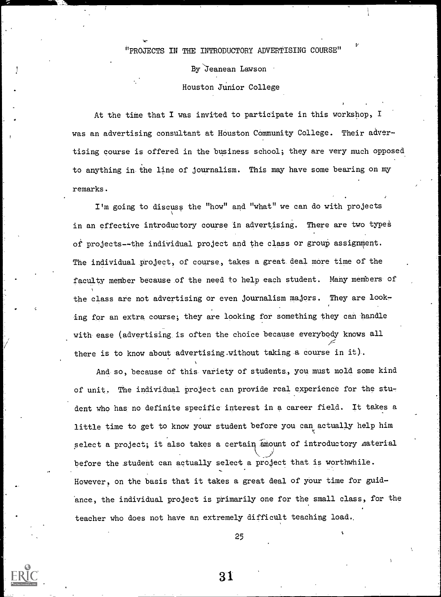#### "PROJECTS IN THE INTRODUCTORY ADVERTISING COURSE"

By Jeanean Lawson

Houston Junior College

At the time that I was invited to participate in this workshop, I was an advertising consultant at Houston Community College. Their advertising course is offered in the business school; they are very much opposed to anything in the line of journalism. This may have some bearing on my remarks.

I'm going to discuss the "how" and "what" we can do with projects in an effective introductory course in advertising. There are two types of projects--the individual project and the class or group assignment. The individual project, of course, takes a great deal more time of the faculty member because of the need to help each student. Many members of the class are not advertising or even journalism majors. They are looking for an extra course; they are looking for something they can handle with ease (advertising is often the choice because everybody knows all /.= there is to know about advertising.without taking a course in it).

And so, because of this variety of students, you must mold some kind of unit. The individual project can provide real experience for the student who has no definite specific interest in a career field. It takes a little time to get to know your student before you canactually help him select a project; it also takes a certain amount of introductory material \_-/ before the student can actually select a project that is worthwhile. However, on the basis that it takes a great deal of your time for guidance, the individual project is primarily one for the small class, for the teacher who does not have an extremely difficult teaching load..

25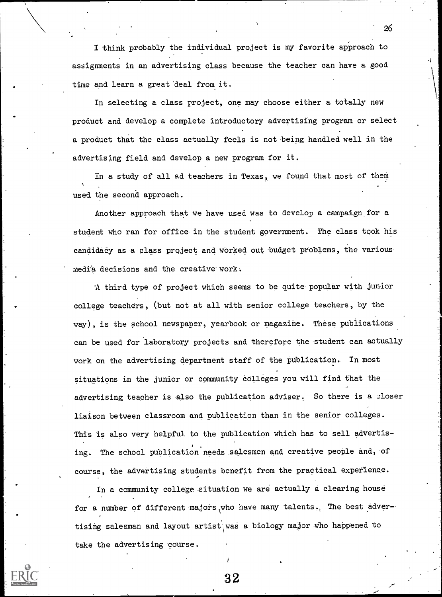I think probably the individual project is my favorite approach to assignments in an advertising class because the teacher can have a good time and learn a great deal from it.

In selecting a class project, one may choose either a totally new product and develop a complete introductory advertising program or select a product that the class actually feels is not being handled well in the advertising field and develop a new program for it.

In a study of all ad teachers in Texas, we found that most of them used the second approach.

Another approach that we have used was to develop a campaign, for a student who ran for office in the student government. The class took his candidacy as a class project and worked out budget problems, the various media decisions and the creative work.

'A third type of project which seems to be quite popular with junior college teachers, (but not at all with senior college teachers, by the way), is the school newspaper, yearbook or magazine. These publications can be used for laboratory projects and therefore the student can actually work on the advertising department staff of the publication. In most situations in the junior or community colleges you will find that the advertising teacher is also the publication adviser. So there is a closer liaison between classroom and Publication than in the senior colleges. This is also very helpful to the publication which has to sell advertising. The school publication needs salesmen and creative people and, of course, the advertising students benefit from the practical experience.

In a community college situation we are actually a clearing house for a number of different majors who have many talents. The best advertising salesman and layout artist was a biology major who happened to take the advertising course.

26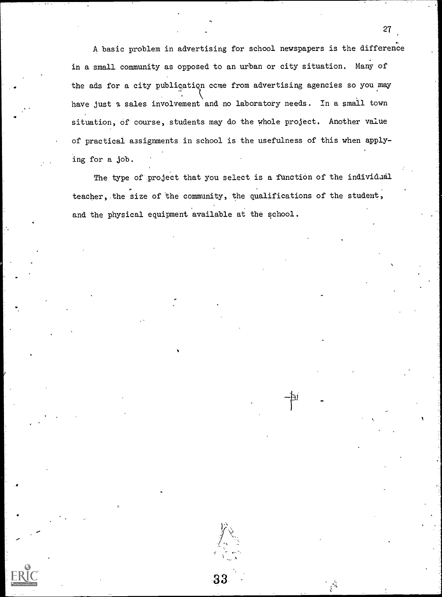A basic problem in advertising for school newspapers is the difference in a small community as opposed to an urban or city situation. Many of the ads for a city publication come from advertising agencies so you may have just a sales involvement and no laboratory needs. In a small town situation, of course, students may do the whole project. Another value of practical assignments in school is the usefulness of this when applying for a job.

The type of project that you select is a function of the individual teacher, the size of the community, the qualifications of the student, and the physical equipment available at the school.





\_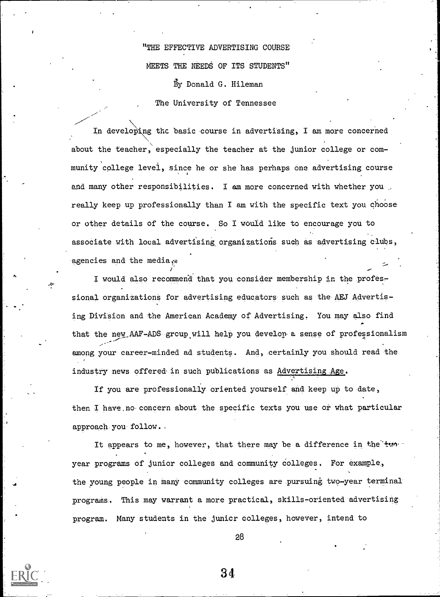"THE EFFECTIVE ADVERTISING COURSE MEETS THE NEEDS OF ITS STUDENTS" By Donald G. Hileman The University of Tennessee

In developing the basic course in advertising, I am more concerned about the teacher, especially the teacher at the junior college or community college level, since he or she has perhaps one advertising course and many other responsibilities. I am more concerned with whether you really keep up professionally than I am with the specific text you choose or other details of the course. So I would like to encourage you to associate with local advertising organizations such as advertising clubs, agencies and the media. $\ast$ 

I would also recommend that you consider membership in the professional organizations for advertising educators such as the AEJ Advertising Division and the American Academy of Advertising. You may also find that the new AAF-ADS group will help you develop a sense of professionalism among your career-minded ad students. And, certainly you should read the industry news offered-in such publications as Advertising Age.

If you are professionally oriented yourself and keep up to date, then I have.no concern about the specific texts you use or what particular approach you follow..

It appears to me, however, that there may be a difference in the twoyear programs of junior colleges and community colleges. For example, the young people in many community colleges are pursuing two-year terminal programs. This may warrant a more practical, skills-oriented advertising program. Many students in the junior colleges, however, intend to

4

28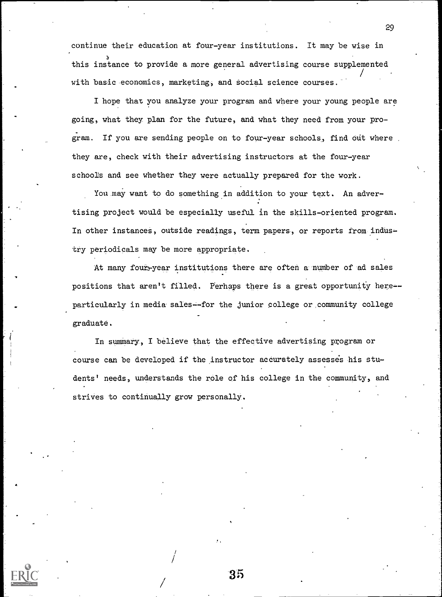continue their education at four-year institutions. It may be wise in this instance to provide a more general advertising course supplemented with basic-economics, marketing, and social science courses.

I hope that you analyze your program and where your young people are going, what they plan for the future, and what they need from your program. If you are sending people on to four-year schools, find out where they are, check with their advertising instructors at the four-year schools and see whether they were actually prepared for the work.

You may want to do something in addition to your text. An advertising project would be especially useful in the skills-oriented program. In other instances, outside readings, term papers, or reports from industry periodicals may be more appropriate.

At many four-year institutions there are often a number of ad sales positions that aren't filled. perhaps there is a great opportunity here- particularly in media sales--for the junior college or community college graduate.

In summary, I believe that the effective advertising program or course can be developed if the instructor accurately assesses his students' needs, understands the role of his college in the community, and strives to continually grow personally.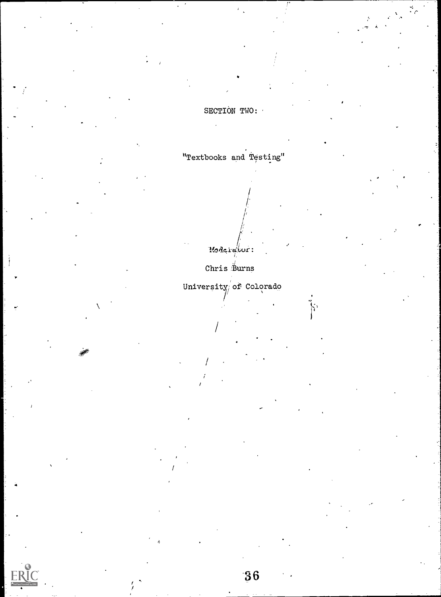SECTION TWO:

"Textbooks and Testing"

Moderatior:

Chris  $\overset{\circ}{B}$ urns

University of Colorado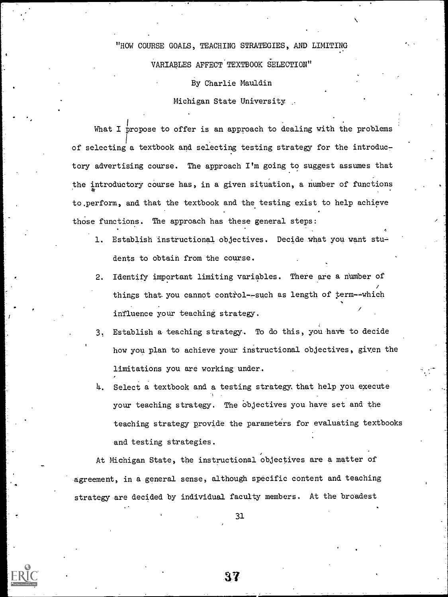"HOW COURSE GOALS, TEACHING STRATEGIES, AND LIMITING VARIABLES AFFECT TEXTBOOK SELECTION"

#### By Charlie Mauldin

#### Michigan State University \_

What I propose to offer is an approach to dealing with the problems of selecting a textbook and selecting testing strategy for the introductory advertising course. The approach I'm going to suggest assumes that the introductory course has, in a given situation, a number of functions to.perform, and that the textbook and the testing exist to help achieve those functions. The approach has these general steps:

- 1. Establish instructional objectives. Decide what you want students to obtain from the course.
- 2. Identify important limiting variables. There are a number of things that you cannot control--such as length of term--which influence your teaching strategy.
- 3. Establish a teaching strategy. To do this, you have to decide how you plan to achieve your instructional objectives, given the limitations you are working under.
- I. Select a textbook and a testing strategy. that help you execute your teaching strategy. The objectives you have set and the teaching strategy provide the parameters for evaluating textbooks -and testing strategies.

At Michigan State, the instructional objectives are a matter of -agreement, in a general sense, although specific content and teaching strategy are decided by individual faculty members. At the broadest

31

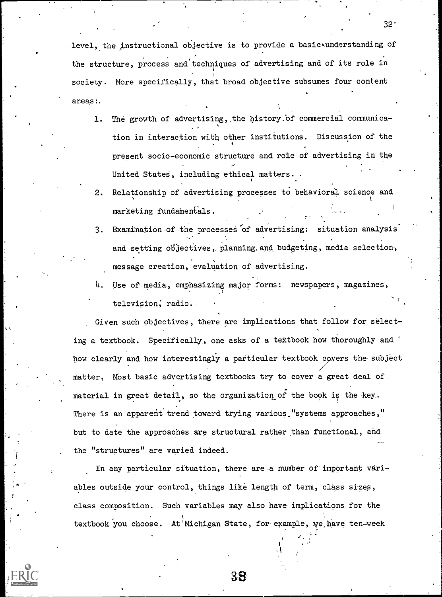level, the instructional objective is to provide a basic understanding of the structure, process and'techniques of advertising and of its role in society. More specifically, that broad objective subsumes four content areas:.

- 1. The growth of advertising,, the history.bf commercial communica- , tion in interaction with other institutions. Discussion of the present socio-economic structure and role of advertising in the United States, including ethical matters. .
- 2. Relationship of advertising processes to behavioral science and marketing fundamentals.
- 3. Examination of the processes of advertising: situation analysis and setting objectives, planning.and budgeting, media selection, message creation, evaluation of advertising.
- 4. Use of media, emphasizing major forms: newspapers, magazines, television, radio.

Given such objectives, there are implications that follow for select- . ing a textbook. Specifically, one asks of a textbook how thoroughly and boy clearly and how interestingly a particular textbook covers the-subject matter. Most basic advertising textbooks try to cover a great deal of. material in great detail, so the organization of the book is the key. There is an apparent trend toward trying various "systems approaches," but to date the approaches are structural rather than functional, and the "structures" are varied indeed.

In any particular situation, there are a number of important variables outside your control, things like length of term, class sizes, class composition. Such variables may also have implications for the textbook you choose. At'Michigan State, for example, we,have ten-week



38

 $32.$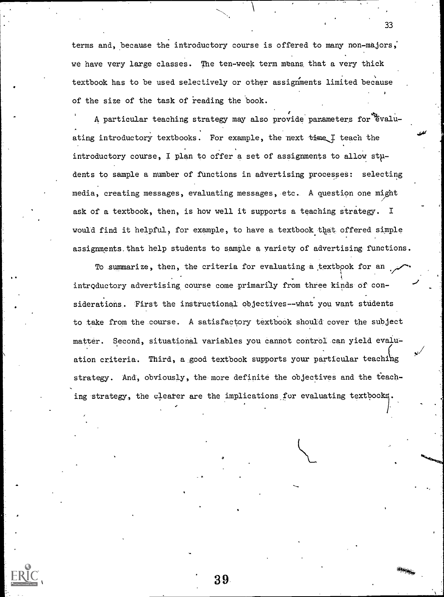terms and, because the introductory course is offered to many non-majors, we have very large classes. The ten-week term means that a very thick textbook has to be used selectively or other assignments limited because of the size of the task of reading the book.

A particular teaching strategy may also provide parameters for Evaluating introductory textbooks. For example, the next time I teach the introductory course, I plan to offer a set of assignments to allow  $sty$ dents to sample a number of functions in advertising processes: selecting media, creating messages, evaluating messages, etc. A question one might ask of a textbook, then, is how well it supports a teaching strategy. I would find it helpful, for example, to have a textbook that offered simple assignments.that help students to sample a variety of advertising functions.

To summarize, then, the criteria for evaluating a textbook for an introductory advertising course come primarily from three kinds of considerations, Tirst the instructional objectives--what you want students to take from the course. A satisfactory textbook should cover the subject matter. Second, situational variables you cannot control can yield evaluation criteria. Third, a good textbook supports your particular teaching strategy. And, obviously, the more definite the objectives and the teaching strategy, the clearer are the implications for evaluating textbooks

33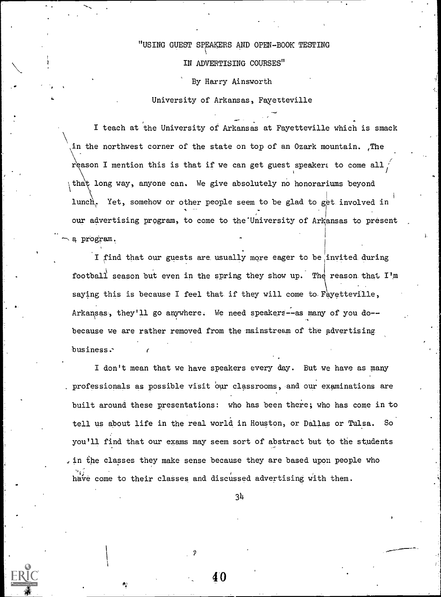#### "USING GUEST SPEAKERS AND OPEN-BOOK TESTING ka kacamatan

### IN ADVERTISING COURSES"

By Harry Ainsworth

University of Arkansas, Fayetteville

I teach at the University of Arkansas at Fayetteville which is smack in the northwest corner of the state on top of an Ozark mountain. The reason I mention this is that if we can get guest speakers to come all, that long way, anyone can. We give absolutely no honorariums beyond lunch. Yet, somehow or other people seem to be glad to get involved in our advertising program, to come to the'University of Arkansas to present a program.

I find that our guests are usually more eager to be invited during football season but even in the spring they show up. The reason that  $I'm$ saying this is because I feel that if they will come to Fayetteville, Arkansas, they'll go anywhere. We need speakers--as many of you do-because we are rather removed from the mainstream of the advertising business.-

I don't mean that we have speakers every day. But we have as many . professionals as possible visit our classrooms, and our examinations are built around these presentations: who has been there; who has come in to tell us about life in the real world in Houston, or Dallas or Tulsa. So you'll find that our exams may seem sort of abstract but to the students in the classes they make sense because they are based upon people who have come to their classes and discussed advertising with them.

34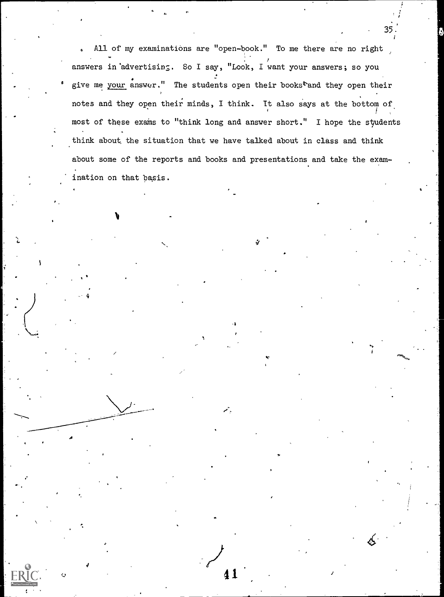All of my examinations are "open-book." To me there are no right answers in advertising. So I say, "Look, I want your answers; so you give me your answer." The students open their books<sup>t</sup>and they open their notes and they open their minds, I think. It also says at the bottom of most of these exams to "think long and answer short." I hope the students think about, the situation that we have talked about in class and think about some of the reports and books and presentations and take the examination on that basis.

 $\blacktriangle$ 

 $\sim$  41

35.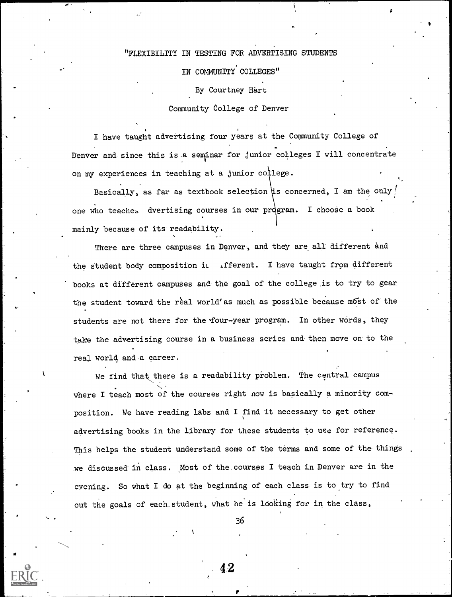### "FLEXIBILITY IN TESTING FOR ADVERTISING STUDENTS

IN COMMUNITY COLLEGES"

By Courtney Hart

#### Community College of Denver

I have taught advertising four years at the Community College of Denver and since this is a seminar for junior colleges I will concentrate on my experiences in teaching at a junior college.

Basically, as far as textbook selection is concerned, I am the only one who teaches dvertising courses in our program. I choose a book mainly because of its readability.

There are three campuses in Denver, and they are all different and the student body composition it .fferent. I have taught from different books at different campuses and the goal of the college is to try to gear the student toward the real world'as much as possible because most of the students are not there for the four-year program. In other words, they take the advertising course in a business series and then move on to the real world and a career.

.

We find that there is a readability problem. The central campus where I teach most of the courses right now is basically a minority composition. We have reading labs and I find it necessary to get other advertising books in the library for these students to use for reference. This helps the student understand some of the terms and some of the things we discussed in class. Most of the courses I teach in Denver are in the evening. So what I do at the beginning of each class is to try to find out the goals of each student, what he is looking for in the class,

36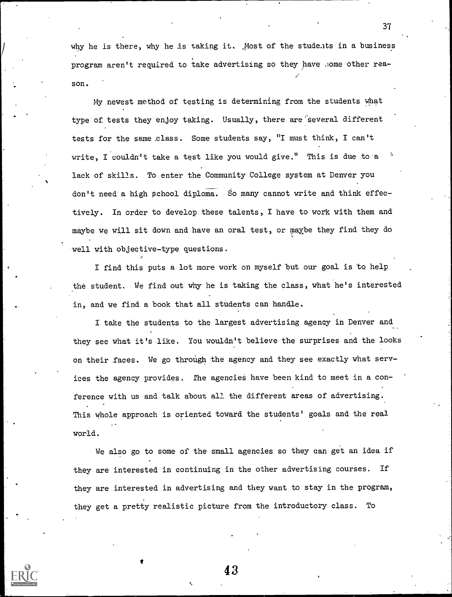why he is there, why he is taking it. Most of the students in a business program aren't required to take advertising so they have .;ome other reason.

My newest method of testing is determining from the students what type of tests they enjoy taking. Usually, there are several different tests for the same class. Some students say, "I must think, I can't write, I couldn't take a test like you would give." This is due to a lack of skills. To enter the Community College system at Denver you don't need a high school diploma. So many cannot write and think effectively. In order to develop these talents, I have to work with them and maybe we will sit down and have an oral test, or maybe they find they do well with objective-type questions.

I find this puts a lot more work on myself but our goal is to help the student. We find out why he is taking the class, what he's interested in, and we find a book that all students can handle.

I take the students to the largest advertising agency in Denver and they see what it's like. You wouldn't believe the surprises and the looks on their faces. We go through the agency and they see exactly what services the agency provides. The agencies have been kind to meet in a conference with us and talk about all the different areas of advertising. This whole approach is oriented toward the students' goals and the real world.

We also go to some of the small agencies so they can get an idea if they are interested in continuing in the other advertising courses. If they are interested in advertising and they want to stay in the program, they get a pretty realistic picture from the introductory class. To

43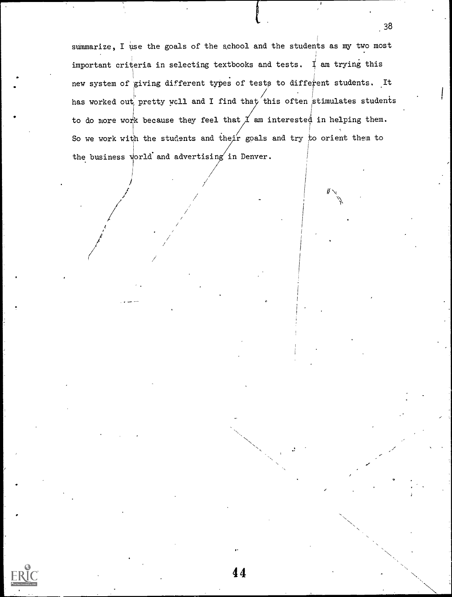summarize, I use the goals of the school and the students as my two most . important criteria in selecting textbooks and tests. I am trying this new system of giving different types of tests to different students. It has worked out pretty well and I find that this often stimulates students to do more work because they feel that  $\cancel{\mathcal{I}}$  am interested in helping them. i So we work with the students and their goals and try to orient them to I the business world and advertising in Denver.

44

 $\mathcal{F}$  and  $\mathcal{F}$ 

 $.38$ 

 $\mathcal{U}$  is a set of  $\mathcal{U}$  $\mathcal{L}$  is the set of  $\mathcal{L}$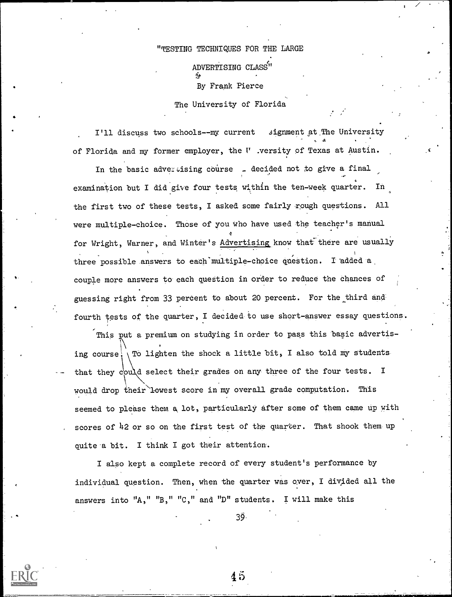"TESTING TECHNIQUES FOR THE LARGE

ADVERTISING CLASS"

By Frank Pierce

The University of Florida

I'll discuss two schools--my current signment at The University of Florida and my former employer, the  $V$  .versity of Texas at Austin.

In the basic advertising course  $\Box$  decided not to give a final examination but I did give four tests within the ten-week quarter. In the first two of these tests, I asked some fairly rough questions. All were multiple-choice. Those of you who have used the teacher's manual 0 for Wright, Warner, and Winter's Advertising know that there are usually three possible answers to each multiple-choice question. I added a couple more answers to each question in order to reduce the chances of guessing right from 33 percent to about 20 percent. For the third and fourth tests of the quarter, I decided to use short-answer essay questions.

This put a premium on studying in order to pass this basic advertising course! To lighten the shock a little bit, I also told my students that they could select their grades on any three of the four tests. I would drop their lowest score in my overall grade computation. This seemed to please them a, lot, particularly after some of them came up with scores of 42 or so on the first test of the quarter. That shook them up quite a bit. I think I got their attention.

I also kept a complete record of every student's performance by individual question. Then, when the quarter was over, I divided all the answers into "A," "B," "C," and "D" students. I will make this

39.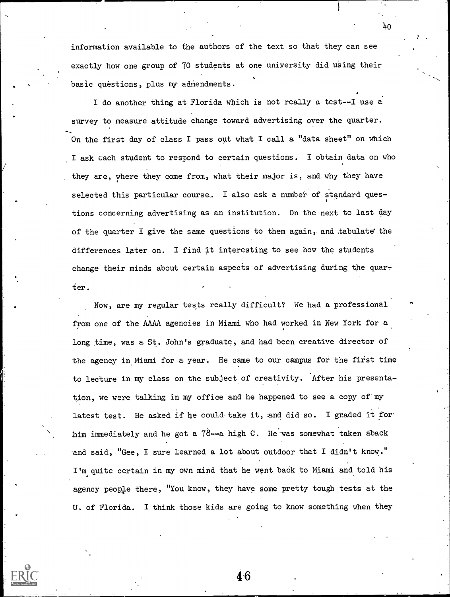information available to the authors of the text so that they can see exactly how one group of 70 students at one university did using their basic questions, plus my admendments.

I do another thing at Florida which is not really a test--I use a survey to measure attitude change toward advertising over the quarter. On the first day of class I pass out what I call a "data sheet" on which I ask each student to respond to certain questions. I obtain data on who they are, where they come from, what their major is, and why they have selected this particular course. I also ask a number of standard quess tions concerning advertising as an institution. On the next to last day of the quarter I give the same questions to them again, and .tabulate the differences later on. I find it interesting to see how the students change their minds about certain aspects of advertising during the quarter.

Now, are my regular tests really difficult? We had a professional from one of the AAAA agencies in Miami who had worked in New York for a long time, was a St. John's graduate, and had been creative director of the agency in Miami for a year. He came to our campus for the first time to lecture in my class on the subject of creativity. After his presentation, we were talking in my office and he happened to see a copy of my latest test. He asked if he could take it, and did so. I graded it forhim immediately and he got a  $78$ --a high C. He was somewhat taken aback and said, "Gee, I sure learned a lot about outdoor that I didn't know." I'm quite certain in my own mind that he went back to Miami and told his agency people there, "You know, they have some pretty tough tests at the U. of Florida. I think those kids are going to know something when they

46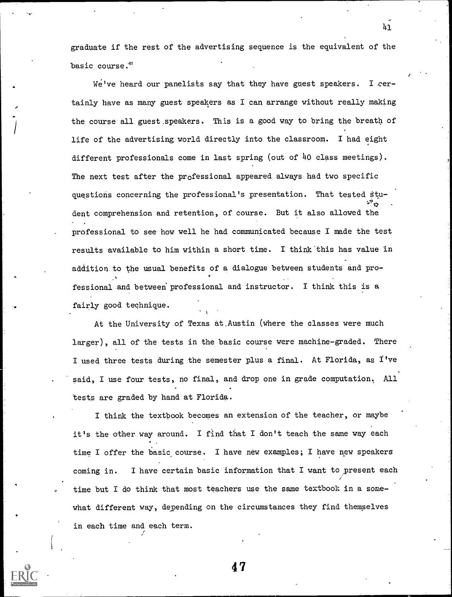graduate if the rest of the advertising sequence is the equivalent of the basic course:"

41

 $\mathbf{e}^{(1)}$ 

We've heard our panelists say that they have guest speakers. I certainly have as many guest speakers as I can arrange without really making the course all guest speakers. This is a good way to bring the breath of life of the advertising world directly into the classroom. I had eight different professionals come in last spring (out of 4o class meetings). The next test after the professional appeared always had two specific questions concerning the professional's presentation. That tested stu- $\mathcal{L}^{\mathcal{R}}$  . The contract of  $\mathcal{L}$ dent comprehension and retention, of course. But it also allowed the professional to see how well he had communicated because I made the test results available to him within a short time. I think'this has value in addition to the usual benefits of a dialogue between students and professional and between' professional and instructor. I think this is a fairly good technique.

At the University of Texas at.Austin (where the classes were much larger), all of the tests in the basic course were machine-graded. There I used three tests during the semester plus a final. At Florida, as I've said, I use four tests, no final, and drop one in grade computation; All tests are graded by hand at Florida.

I think the textbook becomes an extension of the teacher, or maybe it's the other way around. I find that I don't teach the same way each time I offer the basic course. I have new examples; I have new speakers coming in. I have certain basic information that I want to present each time but I do think that most teachers use the same textbook in a somewhat different way, depending on the circumstances they find themselves in each time and each term.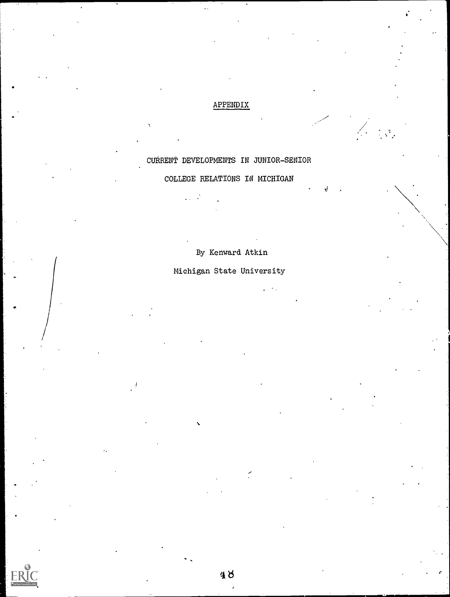### APPENDIX

en de la Barca<br>1980 : Barca de Santo de Santo de Santo de Santo de Santo de Santo de Santo de Santo de la Barca de Santo de S

 $\Delta$  , and the set of  $\Delta$ 

# CURRENT DEVELOPMENTS IN JUNIOR-SENIOR

# COLLEGE RELATIONS IN MICHIGAN

 $\mathcal{L}^{\text{max}}_{\text{max}}$ 

# By Kenward Atkin

# Michigan State University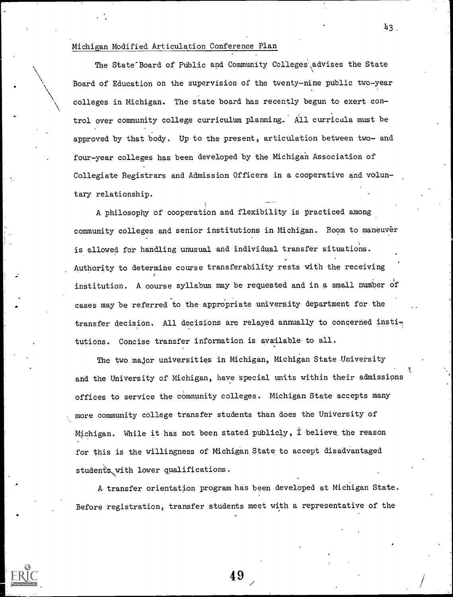#### Michigan Modified Articulation Conference Plan

The State'Board of Public and Community Colleges, advises the State Board of Education on the supervision of the twenty-nine public two-year colleges in Michigan. The state board has recently begun to exert control over community college curriculum planning.' All curricula must be approved by that body. Up to the present, articulation between two- and four-year colleges has been developed by the Michigan Association of Collegiate Registrars and Admission Officers in a cooperative and voluntary relationship.

A philosophy of cooperation and flexibility is practiced among community colleges and senior institutions in Michigan. Room to maneuver is allowed for handling unusual and individual transfer situations. Authority to determine course transferability rests with the receiving institution. A course syllabus may be requested and in a small number of cases may be referred to the appropriate university department for the transfer decision. All decisions are relayed annually to concerned institutions. Concise transfer information is available to all.

The two major universities in Michigan, Michigan State University and the University of Michigan, have special units within their admissions offices to service the community colleges. Michigan State accepts many more community college transfer students than does the University of Michigan. While it has not been stated publicly,  $\dot{\mathbf{I}}$  believe the reason for this is the willingness of Michigan State to accept disadvantaged students with lower qualifications.

A transfer orientation program has been developed at Michigan State. Before registration, transfer students meet with a representative of the

49

 $43<sub>1</sub>$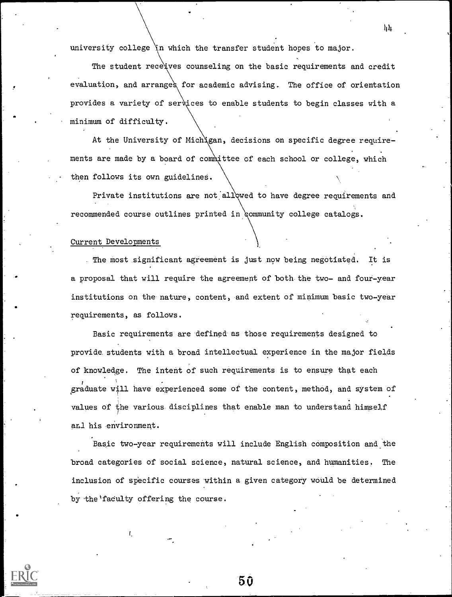university college 'n which the transfer student hopes to major.

The student receives counseling on the basic requirements and credit evaluation, and arranges for academic advising. The office of orientation provides a variety of services to enable students to begin classes with a minimum of difficulty.

At the University of Michigan, decisions on specific degree requirements are made by a board of committee of each school or college, which then follows its own guidelines.

Private institutions are not allowed to have degree requirements and recommended course outlines printed in community college catalogs.

#### Current DeVelopments

The most significant agreement is just now being negotiated. It is a proposal that will require the agreement of both the two- and four-year institutions on the nature, content, and extent of minimum basic two-year requirements, as follows.

Basic requirements are defined as those requirements designed to provide students with a broad intellectual experience in the major fields of knowledge. The intent of such requirements is to ensure that each graduate will have experienced some of the content, method, and system of values of the various disciplines that enable man to understand himself anl his environment.

Basic two-year requirements will include English composition and the broad categories of social science, natural science, and humanities. The inclusion of specific courses within a given category would be determined by the 'faculty offering the course.

50

 $\mu$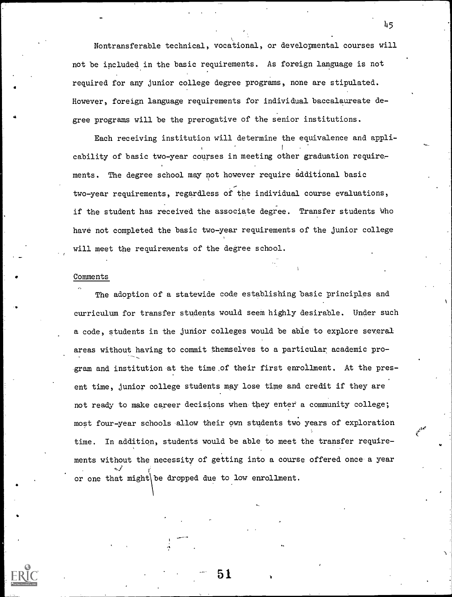Nontransferable technical, vocational, or developmental courses will not be included in the basic requirements. As foreign language is not required for any junior college degree programs, none are stipulated. However, foreign language requirements for individual baccalaureate degree programs will be the prerogative of the senior institutions.

45

Each receiving institution will determine the equivalence and applicability of basic two-year courses in meeting other graduation requirements. The degree school may not however require additional basic two-year requirements, regardless of the individual course evaluations, if the student has received the associate degree. Transfer students who have not completed the basic two-year requirements of the junior college will meet the requirements of the degree school.

#### Comments

a

- **a** contract the contract of the contract of the contract of the contract of the contract of the contract of the contract of the contract of the contract of the contract of the contract of the contract of the contract of

The adoption of a statewide code establishing basic principles and curriculum for transfer students would seem highly desirable. Under such a code, students in the junior colleges would be able to explore several areas without having to commit themselves to a particular academic pro-Exam and institution at the time,of their first enrollment. At the present time, junior college students may lose time and credit if they are not ready to make career decisions when they enter a community college; most four-year schools allow their own students two years of exploration time. In addition, students would be able to meet the transfer requirements without the necessity of getting into a course offered once a year or one that might\ be dropped due to low enrollment.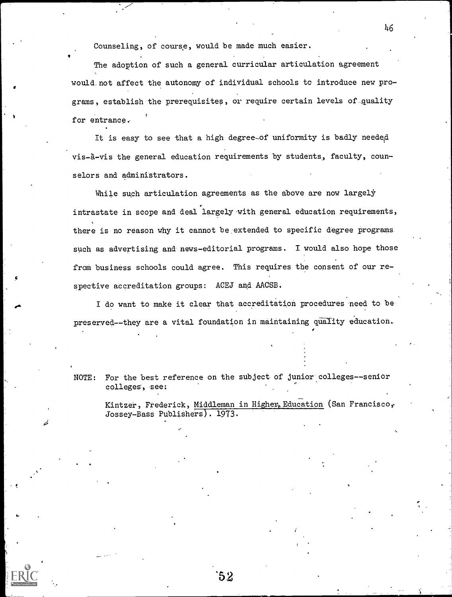Counseling, of course, would be made much easier.

The adoption of such a general curricular articulation agreement would not affect the autonomy of individual schools to introduce new programs, establish the prerequisites, or require certain levels of quality for entrance.

It is easy to see that a high degree-of uniformity is badly needed vis-à-vis the general education requirements by students, faculty, counselors and administrators.

While such articulation agreements as the above are now largely intrastate in scope and deal largely with general education requirements, there is no reason why it cannot be extended to specific degree programs such as advertising and news-editorial programs. I would also hope those from business schools could agree. This requires the consent of our respective accreditation groups: ACEJ and AACSB.

I do want to make it clear that accreditation procedures need to be preserved--they are a vital foundation in maintaining quality education.

NOTE: For the best reference on the subject of junior colleges--senior colleges, see:

نیر

Kintzer, Frederick, Middleman in Higher, Education (San Francisco, Jossey-Bass Publishers). 1973.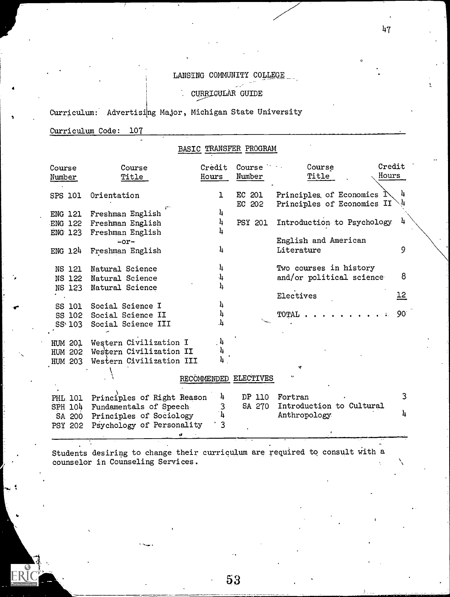## LANSING COMMUNITY COLLEGE

CURRIGULAR GUIDE

Curriculum: Advertising Major, Michigan State University

Curriculum Code: 107

a

ER

# BASIC TRANSFER PROGRAM

| Course<br>Number | Course<br>Title                | Credit<br>Hours | Course<br>Number      | Course<br>Title                                                   | Credit<br>Hours |  |
|------------------|--------------------------------|-----------------|-----------------------|-------------------------------------------------------------------|-----------------|--|
| SPS 101          | Orientation                    | ı               | EC 201<br>EC 202      | Principles of Economics $\mathbb N$<br>Principles of Economics II |                 |  |
| <b>ENG 121</b>   | Freshman English               | 4               |                       |                                                                   |                 |  |
|                  | ENG 122 Freshman English       | 4               | <b>PSY 201</b>        | Introduction to Psychology                                        | 4               |  |
|                  | ENG 123 Freshman English       |                 |                       |                                                                   |                 |  |
|                  | $-or-$                         |                 |                       | English and American                                              |                 |  |
| ENG 124          | Freshman English               | 4               |                       | Literature                                                        | 9               |  |
|                  |                                |                 |                       |                                                                   |                 |  |
| NS 121           | Natural Science                | 4               |                       | Two courses in history                                            |                 |  |
|                  | NS 122 Natural Science         | 4               |                       | and/or political science                                          | 8               |  |
|                  | NS 123 Natural Science         | 4               |                       |                                                                   |                 |  |
|                  |                                |                 |                       | Electives                                                         | <u> 12</u>      |  |
| SS 101           | Social Science I               | 4               |                       |                                                                   |                 |  |
| SS 102           | Social Science II              |                 |                       | <b>TOTAL</b>                                                      | 90 <sup>°</sup> |  |
| SS 103           | Social Science III             |                 |                       |                                                                   |                 |  |
|                  |                                |                 |                       |                                                                   |                 |  |
|                  | HUM 201 Western Civilization I | 4               |                       |                                                                   |                 |  |
| HUM 202          | Western Civilization II        |                 |                       |                                                                   |                 |  |
| HUM 203          | Western Civilization III       |                 |                       |                                                                   |                 |  |
|                  |                                |                 |                       | Y                                                                 |                 |  |
|                  |                                |                 | RECOMMENDED ELECTIVES |                                                                   |                 |  |
|                  |                                |                 |                       |                                                                   |                 |  |
| PHL 101          | Principles of Right Reason     | 4               | DP 110                | Fortran                                                           | 3               |  |
| SPH 104          | Fundamentals of Speech-        | 3               | SA 270                | Introduction to Cultural                                          |                 |  |
| SA 200           | Principles of Sociology        | $\mathbf{h}$    |                       | Anthropology                                                      |                 |  |
| PSY 202          | Psychology of Personality      | $\cdot$ 3       |                       |                                                                   |                 |  |
|                  |                                |                 |                       |                                                                   |                 |  |

Students desiring to change their curriculum are required to consult With a counselor in Counseling Services.